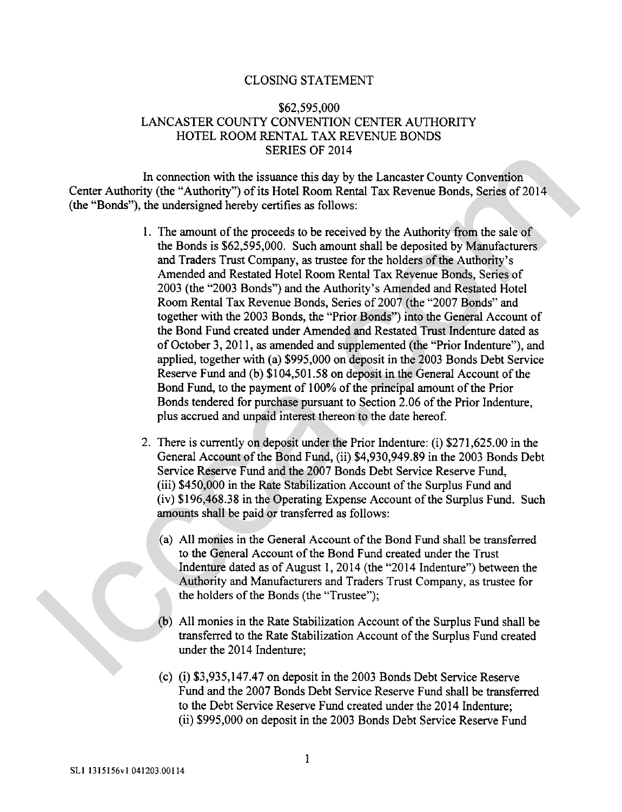#### CLOSING STATEMENT

### \$62,595,000 LANCASTER COUNTY CONVENTION CENTER AUTHORITY HOTEL ROOM RENTAL TAX REVENUE BONDS SERIES OF 2014

In connection with the issuance this day by the Lancaster County Convention Center Authority (the "Authority") of its Hotel Room Rental Tax Revenue Bonds, Series of 2014 (the "Bonds"), the undersigned hereby certifies as follows:

- 1. The amount of the proceeds to be received by the Authority from the sale of the Bonds is \$62,595,000. Such amount shall be deposited by Manufacturers and Traders Trust Company, as trustee for the holders of the Authority's Amended and Restated Hotel Room Rental Tax Revenue Bonds, Series of 2003 (the "2003 Bonds") and the Authority's Amended and Restated Hotel Room Rental Tax Revenue Bonds, Series of 2007 (the "2007 Bonds" and together with the 2003 Bonds, the "Prior Bonds") into the General Account of the Bond Fund created under Amended and Restated Trust Indenture dated **as**  of October 3,20 1 1, as amended and supplemented (the "Prior Indenture"), and applied, together with (a) \$995,000 on deposit in the 2003 Bonds Debt Service Reserve Fund and (b) \$1 04,501.58 on deposit in the General Account of the Bond Fund, to the payment of 100% of the principal amount of the Prior Bonds tendered for purchase pursuant to Section 2.06 of the Prior Indenture, plus accrued and unpaid interest thereon to the date hereof. In connection with the issuance this day by the Lancaster County Convention<br>Center Authority (the "Authority") of its Hotel Room Rental Tax Revenue Bonds, Series of 2014<br>(the "Phonds") (commeter is the correction of the p
	- 2. There is currently on deposit under the Prior Indenture: (i) \$271,625.00 in the General Account of the Bond Fund, (ii) \$4,930,949.89 in the 2003 Bonds Debt Service Reserve Fund and the 2007 Bonds Debt Service Reserve Fund, (iii) \$450,000 in the Rate Stabilization Account of the Surplus Fund and (iv) \$196,468.38 in the Operating Expense Account of the Surplus Fund. Such amounts shall be paid or transferred **as** follows:
		- **(a)** All monies in the General Account of the Bond Fund shall be transferred to the General Account of the Bond Fund created under the Trust Indenture dated as of August 1,20 14 (the "20 14 Indenture") between the Authority and Manufacturers and Traders Trust Company, as trustee for the holders of the Bonds (the "Trustee");
		- (b) All monies in the Rate Stabilization Account of the Surplus Fund shall be transferred to the Rate Stabilization Account of the Surplus Fund created under the 2014 Indenture;
		- (c) (i) \$3,935,147.47 on deposit in the 2003 Bonds Debt Service Reserve Fund and the 2007 Bonds Debt Service Reserve Fund shall be transferred to the Debt Service Reserve Fund created under the 20 14 Indenture; (ii) \$995,000 on deposit in the 2003 Bonds Debt Service Reserve Fund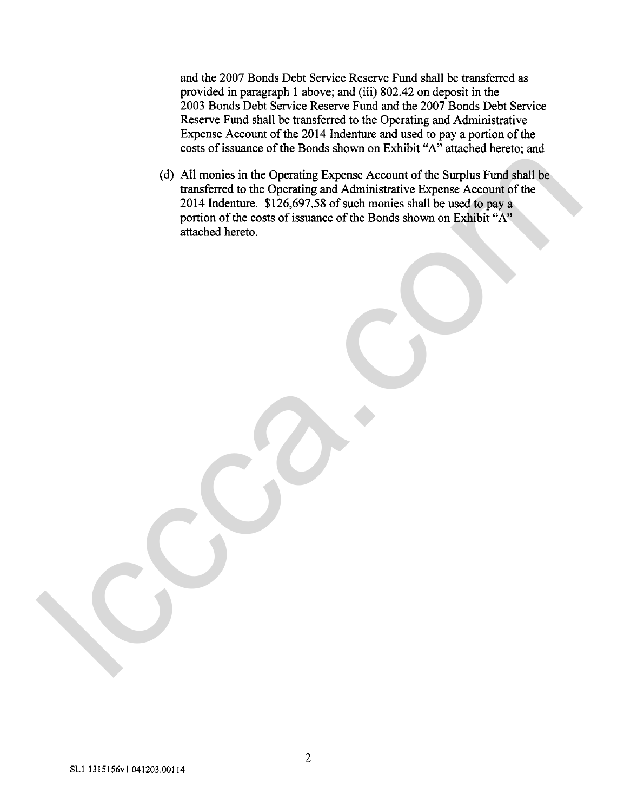and the 2007 Bonds Debt Service Reserve Fund shall be transferred as provided in paragraph 1 above; and (iii) 802.42 on deposit in the 2003 Bonds Debt Service Reserve Fund and the 2007 Bonds Debt Service Reserve Fund shall be transferred to the Operating and Administrative Expense Account of the 2014 Indenture and used to pay a portion of the costs of issuance of the Bonds shown on Exhibit "A" attached hereto; and

(d) Ail monies in the Operating Expense Account of the Surplus Fund shall be transferred to the Operating **and** Administrative Expense Account of the 2014 Indenture. \$126,697.58 of such monies shall be used to pay a portion of the costs of issuance of the Bonds shown on Exhibit "A" attached hereto. (d) All monies in the Operating Expense Account of the Surplus Fund stall be transferred to the Operating and Administrative Expense Account of the Surplus Fund state to part of the 2014 Indensity and Administrative Expen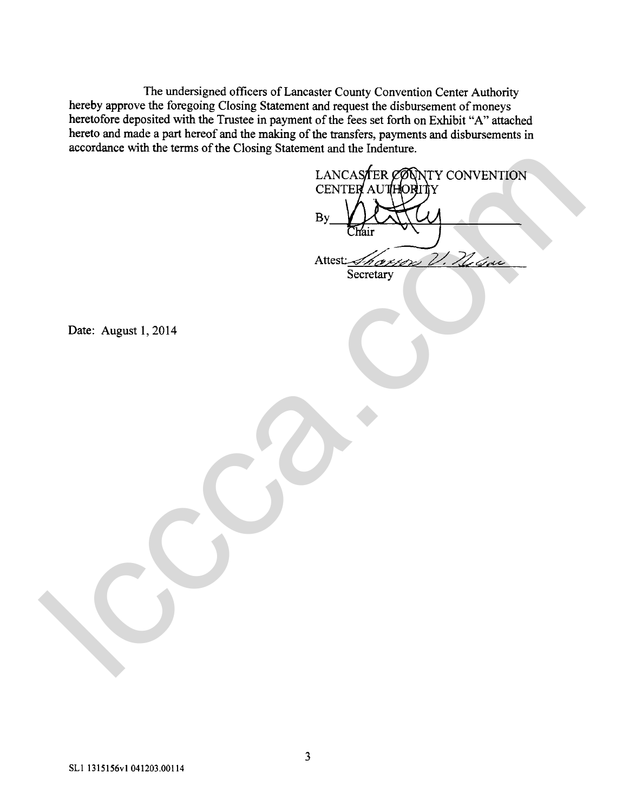The undersigned officers of Lancaster County Convention Center Authority hereby approve the foregoing Closing Statement and request the disbursement of moneys heretofore deposited with the Trustee in payment of the fees set forth on Exhibit "A" attached hereto and made a part hereof and the making of the transfers, payments and disbursements in accordance with the terms of the Closing Statement and the Indenture.

LANCASTER CONTY CONVENTION LANCASTRE PONTY CONVENTION<br>CENTER AUGUST CONVENTION<br>PREC. August 1, 2014

Date: August 1, 2014